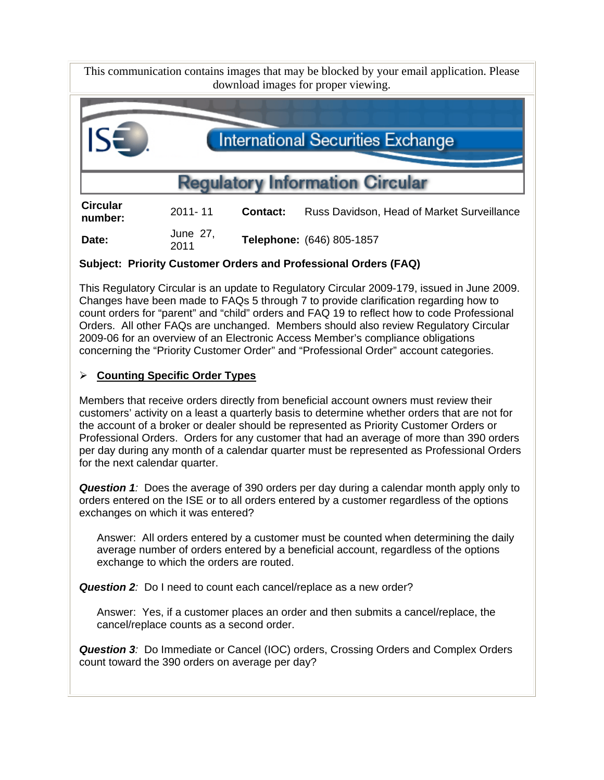This communication contains images that may be blocked by your email application. Please download images for proper viewing.



**Date:** June 27,<br>2011 <sup>2011</sup>**Telephone:** (646) 805-1857

# **Subject: Priority Customer Orders and Professional Orders (FAQ)**

This Regulatory Circular is an update to Regulatory Circular 2009-179, issued in June 2009. Changes have been made to FAQs 5 through 7 to provide clarification regarding how to count orders for "parent" and "child" orders and FAQ 19 to reflect how to code Professional Orders. All other FAQs are unchanged. Members should also review Regulatory Circular 2009-06 for an overview of an Electronic Access Member's compliance obligations concerning the "Priority Customer Order" and "Professional Order" account categories.

# **Counting Specific Order Types**

Members that receive orders directly from beneficial account owners must review their customers' activity on a least a quarterly basis to determine whether orders that are not for the account of a broker or dealer should be represented as Priority Customer Orders or Professional Orders. Orders for any customer that had an average of more than 390 orders per day during any month of a calendar quarter must be represented as Professional Orders for the next calendar quarter.

**Question 1**: Does the average of 390 orders per day during a calendar month apply only to orders entered on the ISE or to all orders entered by a customer regardless of the options exchanges on which it was entered?

Answer: All orders entered by a customer must be counted when determining the daily average number of orders entered by a beneficial account, regardless of the options exchange to which the orders are routed.

**Question 2***:* Do I need to count each cancel/replace as a new order?

Answer: Yes, if a customer places an order and then submits a cancel/replace, the cancel/replace counts as a second order.

*Question 3:* Do Immediate or Cancel (IOC) orders, Crossing Orders and Complex Orders count toward the 390 orders on average per day?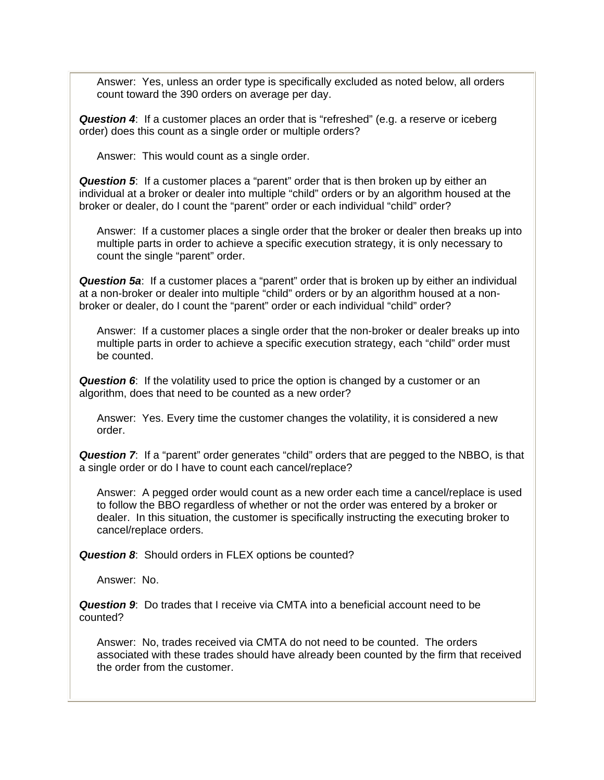Answer: Yes, unless an order type is specifically excluded as noted below, all orders count toward the 390 orders on average per day.

*Question 4*: If a customer places an order that is "refreshed" (e.g. a reserve or iceberg order) does this count as a single order or multiple orders?

Answer: This would count as a single order.

*Question 5*: If a customer places a "parent" order that is then broken up by either an individual at a broker or dealer into multiple "child" orders or by an algorithm housed at the broker or dealer, do I count the "parent" order or each individual "child" order?

Answer: If a customer places a single order that the broker or dealer then breaks up into multiple parts in order to achieve a specific execution strategy, it is only necessary to count the single "parent" order.

*Question 5a*: If a customer places a "parent" order that is broken up by either an individual at a non-broker or dealer into multiple "child" orders or by an algorithm housed at a nonbroker or dealer, do I count the "parent" order or each individual "child" order?

Answer: If a customer places a single order that the non-broker or dealer breaks up into multiple parts in order to achieve a specific execution strategy, each "child" order must be counted.

*Question 6*: If the volatility used to price the option is changed by a customer or an algorithm, does that need to be counted as a new order?

Answer: Yes. Every time the customer changes the volatility, it is considered a new order.

**Question 7:** If a "parent" order generates "child" orders that are pegged to the NBBO, is that a single order or do I have to count each cancel/replace?

Answer: A pegged order would count as a new order each time a cancel/replace is used to follow the BBO regardless of whether or not the order was entered by a broker or dealer. In this situation, the customer is specifically instructing the executing broker to cancel/replace orders.

**Question 8:** Should orders in FLEX options be counted?

Answer: No.

*Question 9*: Do trades that I receive via CMTA into a beneficial account need to be counted?

Answer: No, trades received via CMTA do not need to be counted. The orders associated with these trades should have already been counted by the firm that received the order from the customer.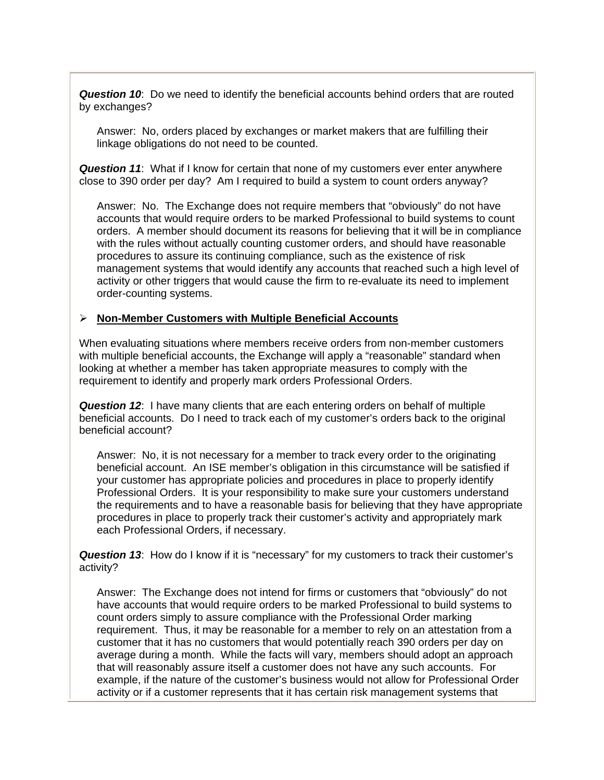*Question 10*: Do we need to identify the beneficial accounts behind orders that are routed by exchanges?

Answer: No, orders placed by exchanges or market makers that are fulfilling their linkage obligations do not need to be counted.

*Question 11*: What if I know for certain that none of my customers ever enter anywhere close to 390 order per day? Am I required to build a system to count orders anyway?

Answer: No. The Exchange does not require members that "obviously" do not have accounts that would require orders to be marked Professional to build systems to count orders. A member should document its reasons for believing that it will be in compliance with the rules without actually counting customer orders, and should have reasonable procedures to assure its continuing compliance, such as the existence of risk management systems that would identify any accounts that reached such a high level of activity or other triggers that would cause the firm to re-evaluate its need to implement order-counting systems.

#### **Non-Member Customers with Multiple Beneficial Accounts**

When evaluating situations where members receive orders from non-member customers with multiple beneficial accounts, the Exchange will apply a "reasonable" standard when looking at whether a member has taken appropriate measures to comply with the requirement to identify and properly mark orders Professional Orders.

*Question 12*: I have many clients that are each entering orders on behalf of multiple beneficial accounts. Do I need to track each of my customer's orders back to the original beneficial account?

Answer: No, it is not necessary for a member to track every order to the originating beneficial account. An ISE member's obligation in this circumstance will be satisfied if your customer has appropriate policies and procedures in place to properly identify Professional Orders. It is your responsibility to make sure your customers understand the requirements and to have a reasonable basis for believing that they have appropriate procedures in place to properly track their customer's activity and appropriately mark each Professional Orders, if necessary.

*Question 13*: How do I know if it is "necessary" for my customers to track their customer's activity?

Answer: The Exchange does not intend for firms or customers that "obviously" do not have accounts that would require orders to be marked Professional to build systems to count orders simply to assure compliance with the Professional Order marking requirement. Thus, it may be reasonable for a member to rely on an attestation from a customer that it has no customers that would potentially reach 390 orders per day on average during a month. While the facts will vary, members should adopt an approach that will reasonably assure itself a customer does not have any such accounts. For example, if the nature of the customer's business would not allow for Professional Order activity or if a customer represents that it has certain risk management systems that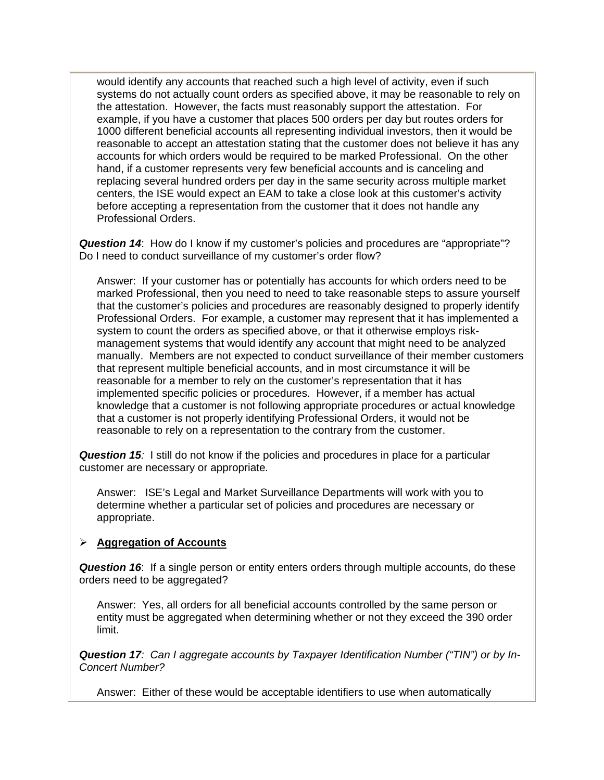would identify any accounts that reached such a high level of activity, even if such systems do not actually count orders as specified above, it may be reasonable to rely on the attestation. However, the facts must reasonably support the attestation. For example, if you have a customer that places 500 orders per day but routes orders for 1000 different beneficial accounts all representing individual investors, then it would be reasonable to accept an attestation stating that the customer does not believe it has any accounts for which orders would be required to be marked Professional. On the other hand, if a customer represents very few beneficial accounts and is canceling and replacing several hundred orders per day in the same security across multiple market centers, the ISE would expect an EAM to take a close look at this customer's activity before accepting a representation from the customer that it does not handle any Professional Orders.

*Question 14*: How do I know if my customer's policies and procedures are "appropriate"? Do I need to conduct surveillance of my customer's order flow?

Answer: If your customer has or potentially has accounts for which orders need to be marked Professional, then you need to need to take reasonable steps to assure yourself that the customer's policies and procedures are reasonably designed to properly identify Professional Orders. For example, a customer may represent that it has implemented a system to count the orders as specified above, or that it otherwise employs riskmanagement systems that would identify any account that might need to be analyzed manually. Members are not expected to conduct surveillance of their member customers that represent multiple beneficial accounts, and in most circumstance it will be reasonable for a member to rely on the customer's representation that it has implemented specific policies or procedures. However, if a member has actual knowledge that a customer is not following appropriate procedures or actual knowledge that a customer is not properly identifying Professional Orders, it would not be reasonable to rely on a representation to the contrary from the customer.

*Question 15:* I still do not know if the policies and procedures in place for a particular customer are necessary or appropriate*.* 

Answer: ISE's Legal and Market Surveillance Departments will work with you to determine whether a particular set of policies and procedures are necessary or appropriate.

#### **Aggregation of Accounts**

*Question 16*: If a single person or entity enters orders through multiple accounts, do these orders need to be aggregated?

Answer: Yes, all orders for all beneficial accounts controlled by the same person or entity must be aggregated when determining whether or not they exceed the 390 order limit.

*Question 17: Can I aggregate accounts by Taxpayer Identification Number ("TIN") or by In-Concert Number?* 

Answer: Either of these would be acceptable identifiers to use when automatically